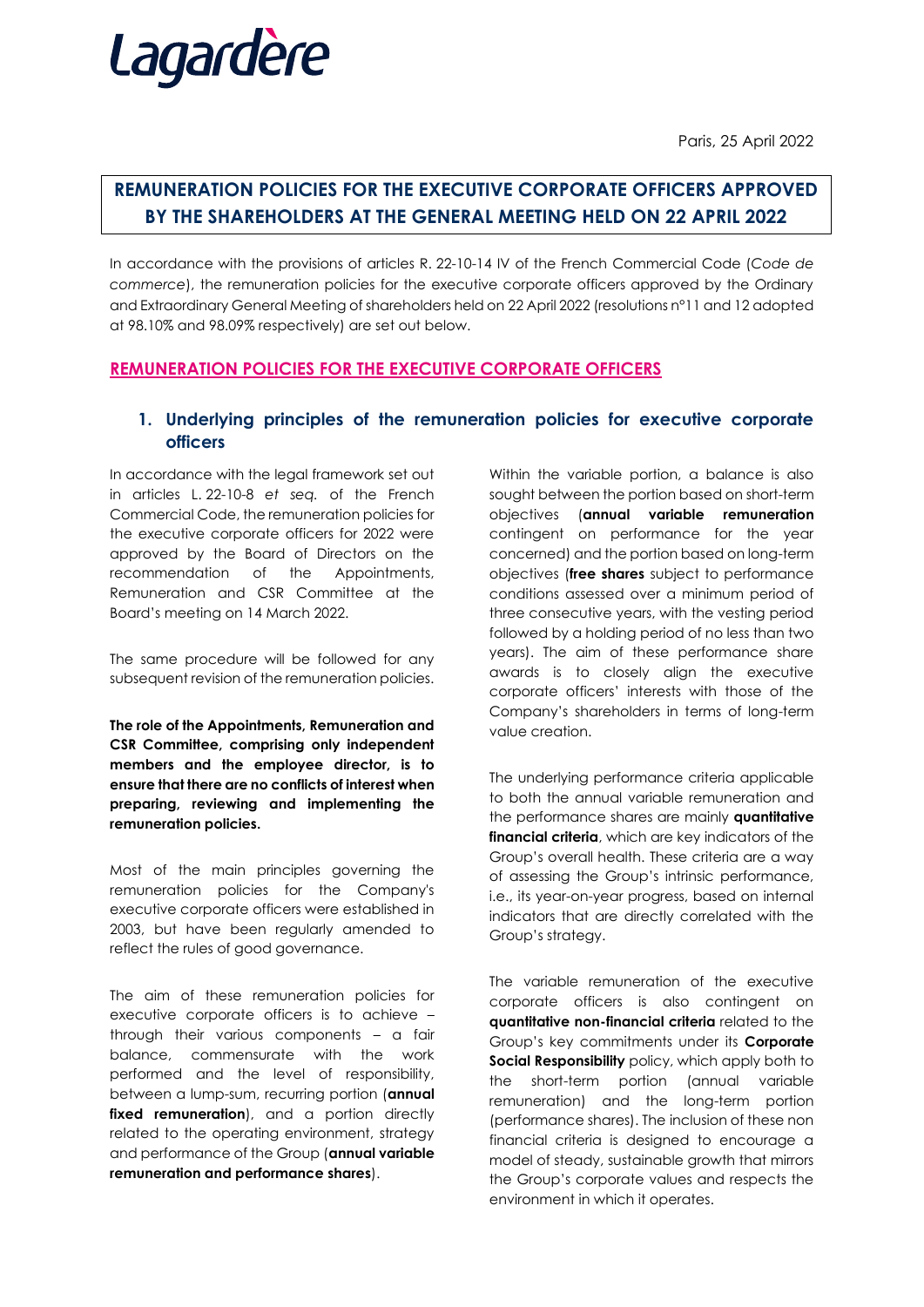

Paris, 25 April 2022

# **REMUNERATION POLICIES FOR THE EXECUTIVE CORPORATE OFFICERS APPROVED BY THE SHAREHOLDERS AT THE GENERAL MEETING HELD ON 22 APRIL 2022**

In accordance with the provisions of articles R. 22-10-14 IV of the French Commercial Code (*Code de commerce*), the remuneration policies for the executive corporate officers approved by the Ordinary and Extraordinary General Meeting of shareholders held on 22 April 2022 (resolutions n°11 and 12 adopted at 98.10% and 98.09% respectively) are set out below.

# **REMUNERATION POLICIES FOR THE EXECUTIVE CORPORATE OFFICERS**

# **1. Underlying principles of the remuneration policies for executive corporate officers**

In accordance with the legal framework set out in articles L. 22-10-8 *et seq.* of the French Commercial Code, the remuneration policies for the executive corporate officers for 2022 were approved by the Board of Directors on the recommendation of the Appointments, Remuneration and CSR Committee at the Board's meeting on 14 March 2022.

The same procedure will be followed for any subsequent revision of the remuneration policies.

**The role of the Appointments, Remuneration and CSR Committee, comprising only independent members and the employee director, is to ensure that there are no conflicts of interest when preparing, reviewing and implementing the remuneration policies.**

Most of the main principles governing the remuneration policies for the Company's executive corporate officers were established in 2003, but have been regularly amended to reflect the rules of good governance.

The aim of these remuneration policies for executive corporate officers is to achieve – through their various components – a fair balance, commensurate with the work performed and the level of responsibility, between a lump-sum, recurring portion (**annual**  fixed remuneration), and a portion directly related to the operating environment, strategy and performance of the Group (**annual variable remuneration and performance shares**).

Within the variable portion, a balance is also sought between the portion based on short-term objectives (**annual variable remuneration**  contingent on performance for the year concerned) and the portion based on long-term objectives (**free shares** subject to performance conditions assessed over a minimum period of three consecutive years, with the vesting period followed by a holding period of no less than two years). The aim of these performance share awards is to closely align the executive corporate officers' interests with those of the Company's shareholders in terms of long-term value creation.

The underlying performance criteria applicable to both the annual variable remuneration and the performance shares are mainly **quantitative financial criteria**, which are key indicators of the Group's overall health. These criteria are a way of assessing the Group's intrinsic performance, i.e., its year-on-year progress, based on internal indicators that are directly correlated with the Group's strategy.

The variable remuneration of the executive corporate officers is also contingent on **quantitative non-financial criteria** related to the Group's key commitments under its **Corporate Social Responsibility** policy, which apply both to the short-term portion (annual variable remuneration) and the long-term portion (performance shares). The inclusion of these non financial criteria is designed to encourage a model of steady, sustainable growth that mirrors the Group's corporate values and respects the environment in which it operates.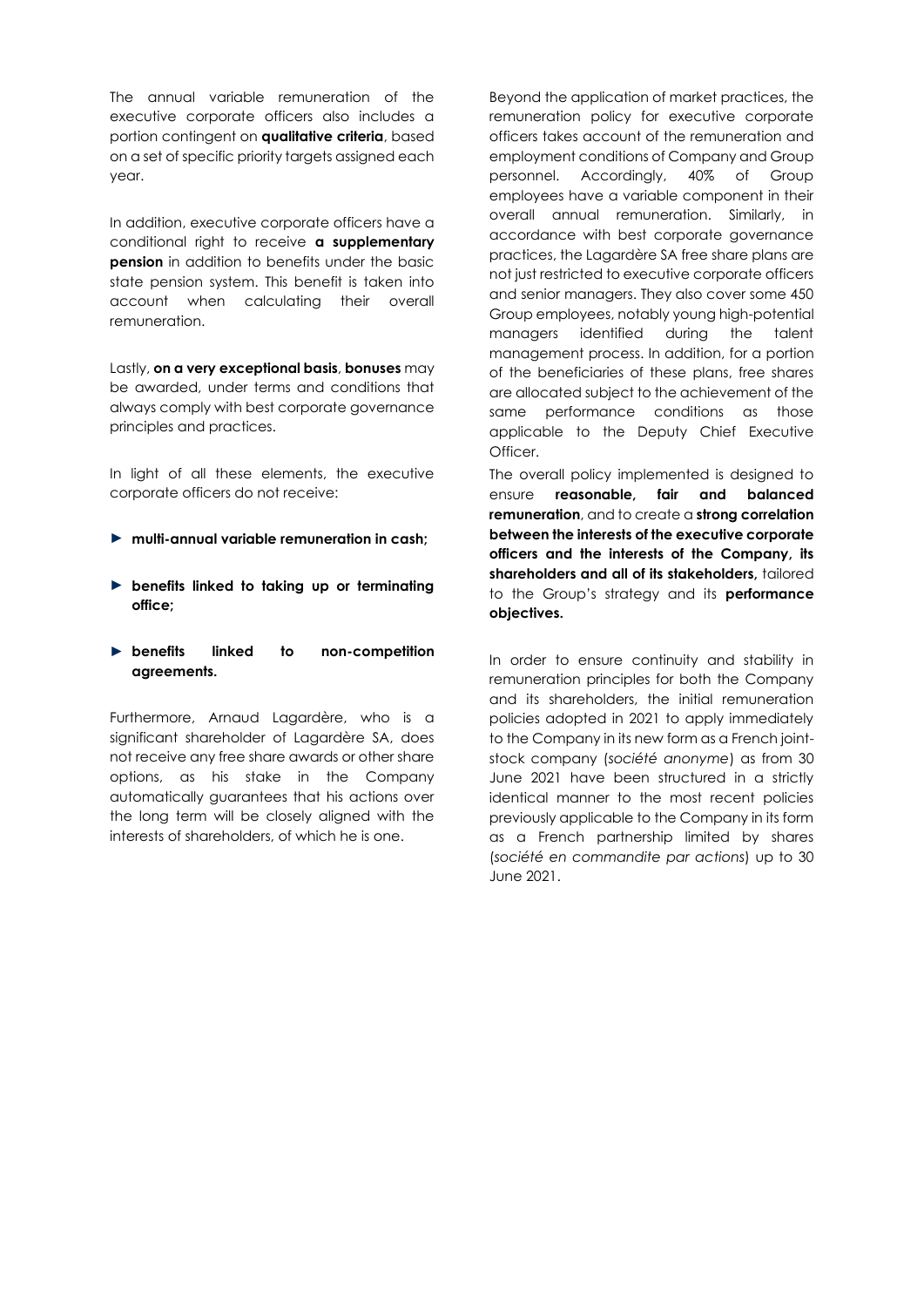The annual variable remuneration of the executive corporate officers also includes a portion contingent on **qualitative criteria**, based on a set of specific priority targets assigned each year.

In addition, executive corporate officers have a conditional right to receive **a supplementary pension** in addition to benefits under the basic state pension system. This benefit is taken into account when calculating their overall remuneration.

Lastly, **on a very exceptional basis**, **bonuses** may be awarded, under terms and conditions that always comply with best corporate governance principles and practices.

In light of all these elements, the executive corporate officers do not receive:

- ► **multi-annual variable remuneration in cash;**
- ► **benefits linked to taking up or terminating office;**
- ► **benefits linked to non-competition agreements.**

Furthermore, Arnaud Lagardère, who is a significant shareholder of Lagardère SA, does not receive any free share awards or other share options, as his stake in the Company automatically guarantees that his actions over the long term will be closely aligned with the interests of shareholders, of which he is one.

Beyond the application of market practices, the remuneration policy for executive corporate officers takes account of the remuneration and employment conditions of Company and Group personnel. Accordingly, 40% of Group employees have a variable component in their overall annual remuneration. Similarly, in accordance with best corporate governance practices, the Lagardère SA free share plans are not just restricted to executive corporate officers and senior managers. They also cover some 450 Group employees, notably young high-potential managers identified during the talent management process. In addition, for a portion of the beneficiaries of these plans, free shares are allocated subject to the achievement of the same performance conditions as those applicable to the Deputy Chief Executive Officer.

The overall policy implemented is designed to ensure **reasonable, fair and balanced remuneration**, and to create a **strong correlation between the interests of the executive corporate officers and the interests of the Company, its shareholders and all of its stakeholders,** tailored to the Group's strategy and its **performance objectives.**

In order to ensure continuity and stability in remuneration principles for both the Company and its shareholders, the initial remuneration policies adopted in 2021 to apply immediately to the Company in its new form as a French jointstock company (*société anonyme*) as from 30 June 2021 have been structured in a strictly identical manner to the most recent policies previously applicable to the Company in its form as a French partnership limited by shares (*société en commandite par actions*) up to 30 June 2021.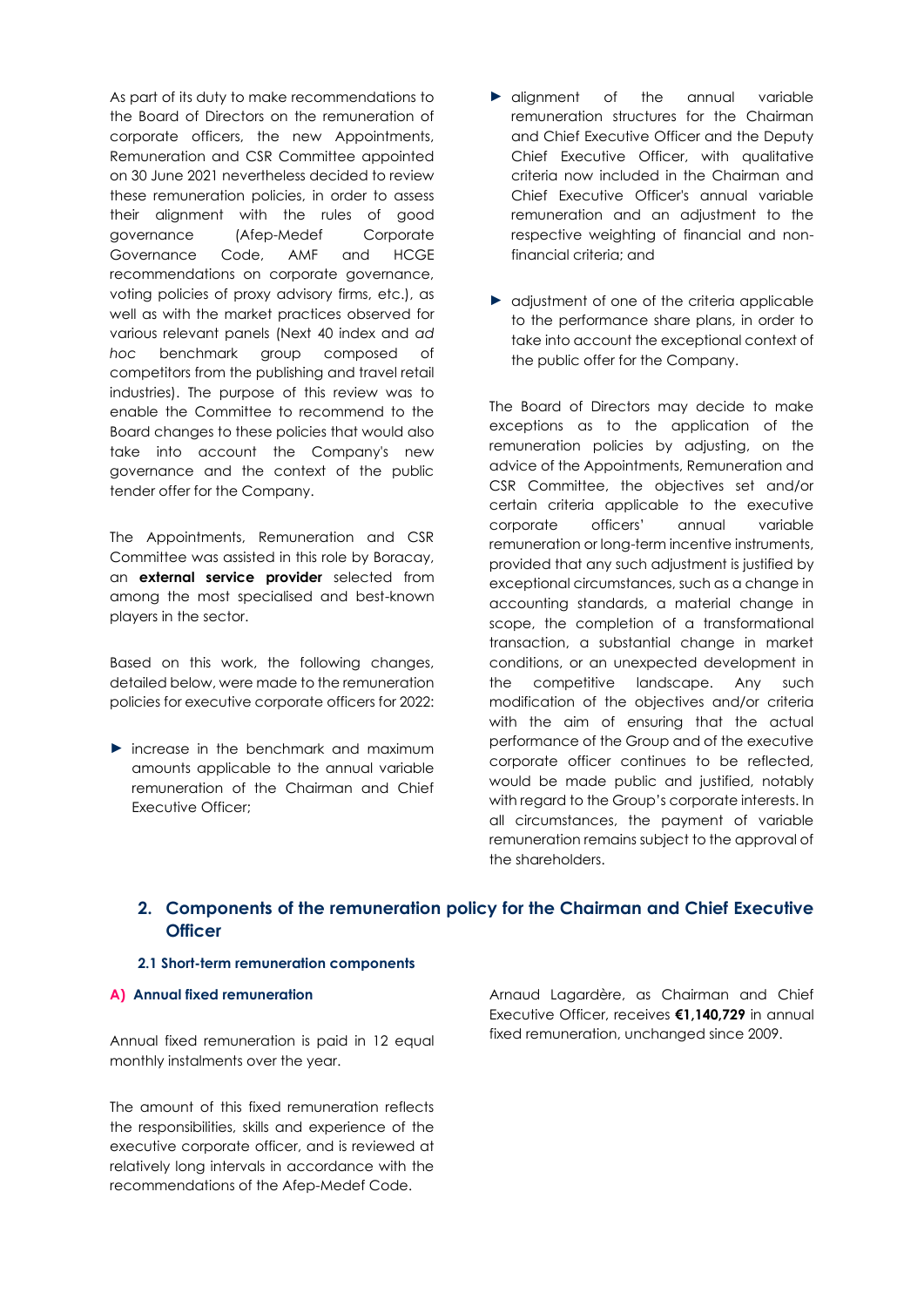As part of its duty to make recommendations to the Board of Directors on the remuneration of corporate officers, the new Appointments, Remuneration and CSR Committee appointed on 30 June 2021 nevertheless decided to review these remuneration policies, in order to assess their alignment with the rules of good governance (Afep-Medef Corporate Governance Code, AMF and HCGE recommendations on corporate governance, voting policies of proxy advisory firms, etc.), as well as with the market practices observed for various relevant panels (Next 40 index and *ad hoc* benchmark group composed of competitors from the publishing and travel retail industries). The purpose of this review was to enable the Committee to recommend to the Board changes to these policies that would also take into account the Company's new governance and the context of the public tender offer for the Company.

The Appointments, Remuneration and CSR Committee was assisted in this role by Boracay, an **external service provider** selected from among the most specialised and best-known players in the sector.

Based on this work, the following changes, detailed below, were made to the remuneration policies for executive corporate officers for 2022:

► increase in the benchmark and maximum amounts applicable to the annual variable remuneration of the Chairman and Chief Executive Officer;

- ► alignment of the annual variable remuneration structures for the Chairman and Chief Executive Officer and the Deputy Chief Executive Officer, with qualitative criteria now included in the Chairman and Chief Executive Officer's annual variable remuneration and an adjustment to the respective weighting of financial and nonfinancial criteria; and
- ► adjustment of one of the criteria applicable to the performance share plans, in order to take into account the exceptional context of the public offer for the Company.

The Board of Directors may decide to make exceptions as to the application of the remuneration policies by adjusting, on the advice of the Appointments, Remuneration and CSR Committee, the objectives set and/or certain criteria applicable to the executive corporate officers' annual variable remuneration or long-term incentive instruments, provided that any such adjustment is justified by exceptional circumstances, such as a change in accounting standards, a material change in scope, the completion of a transformational transaction, a substantial change in market conditions, or an unexpected development in the competitive landscape. Any such modification of the objectives and/or criteria with the aim of ensuring that the actual performance of the Group and of the executive corporate officer continues to be reflected, would be made public and justified, notably with regard to the Group's corporate interests. In all circumstances, the payment of variable remuneration remains subject to the approval of the shareholders.

# **2. Components of the remuneration policy for the Chairman and Chief Executive Officer**

# **2.1 Short-term remuneration components**

## **A) Annual fixed remuneration**

Annual fixed remuneration is paid in 12 equal monthly instalments over the year.

The amount of this fixed remuneration reflects the responsibilities, skills and experience of the executive corporate officer, and is reviewed at relatively long intervals in accordance with the recommendations of the Afep-Medef Code.

Arnaud Lagardère, as Chairman and Chief Executive Officer, receives **€1,140,729** in annual fixed remuneration, unchanged since 2009.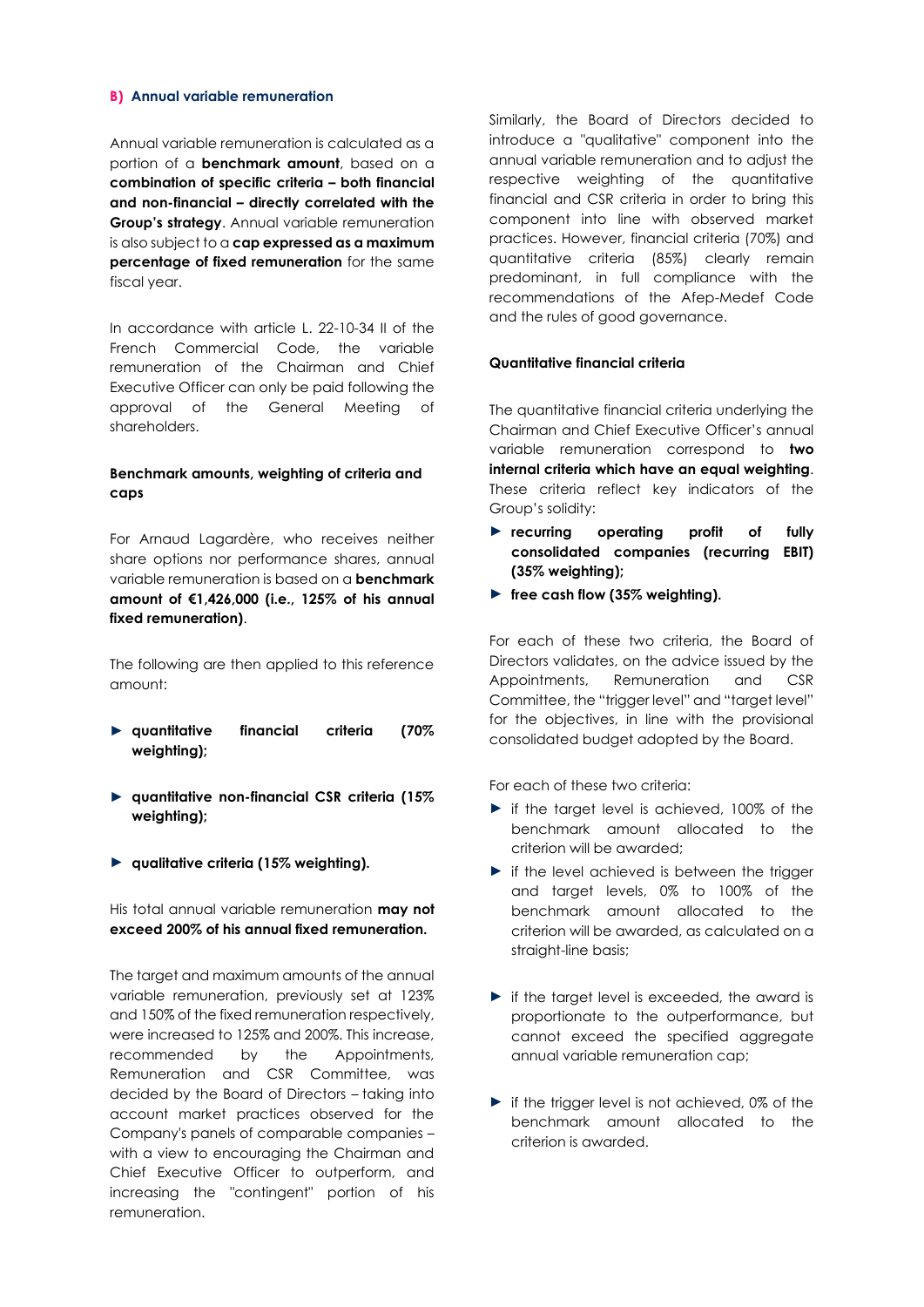#### **B) Annual variable remuneration**

Annual variable remuneration is calculated as a portion of a **benchmark amount**, based on a **combination of specific criteria – both financial and non-financial – directly correlated with the Group's strategy**. Annual variable remuneration is also subject to a **cap expressed as a maximum percentage of fixed remuneration** for the same fiscal year.

In accordance with article L. 22-10-34 II of the French Commercial Code, the variable remuneration of the Chairman and Chief Executive Officer can only be paid following the approval of the General Meeting of shareholders.

# **Benchmark amounts, weighting of criteria and caps**

For Arnaud Lagardère, who receives neither share options nor performance shares, annual variable remuneration is based on a **benchmark amount of €1,426,000 (i.e., 125% of his annual fixed remuneration)**.

The following are then applied to this reference amount:

- ► **quantitative financial criteria (70% weighting);**
- ► **quantitative non-financial CSR criteria (15% weighting);**
- ► **qualitative criteria (15% weighting).**

His total annual variable remuneration **may not exceed 200% of his annual fixed remuneration.**

The target and maximum amounts of the annual variable remuneration, previously set at 123% and 150% of the fixed remuneration respectively, were increased to 125% and 200%. This increase, recommended by the Appointments, Remuneration and CSR Committee, was decided by the Board of Directors – taking into account market practices observed for the Company's panels of comparable companies – with a view to encouraging the Chairman and Chief Executive Officer to outperform, and increasing the "contingent" portion of his remuneration.

Similarly, the Board of Directors decided to introduce a "qualitative" component into the annual variable remuneration and to adjust the respective weighting of the quantitative financial and CSR criteria in order to bring this component into line with observed market practices. However, financial criteria (70%) and quantitative criteria (85%) clearly remain predominant, in full compliance with the recommendations of the Afep-Medef Code and the rules of good governance.

## **Quantitative financial criteria**

The quantitative financial criteria underlying the Chairman and Chief Executive Officer's annual variable remuneration correspond to **two internal criteria which have an equal weighting**. These criteria reflect key indicators of the Group's solidity:

- ► **recurring operating profit of fully consolidated companies (recurring EBIT) (35% weighting);**
- ► **free cash flow (35% weighting).**

For each of these two criteria, the Board of Directors validates, on the advice issued by the Appointments, Remuneration and CSR Committee, the "trigger level" and "target level" for the objectives, in line with the provisional consolidated budget adopted by the Board.

For each of these two criteria:

- ► if the target level is achieved, 100% of the benchmark amount allocated to the criterion will be awarded;
- ► if the level achieved is between the trigger and target levels, 0% to 100% of the benchmark amount allocated to the criterion will be awarded, as calculated on a straight-line basis;
- ► if the target level is exceeded, the award is proportionate to the outperformance, but cannot exceed the specified aggregate annual variable remuneration cap;
- ► if the trigger level is not achieved, 0% of the benchmark amount allocated to the criterion is awarded.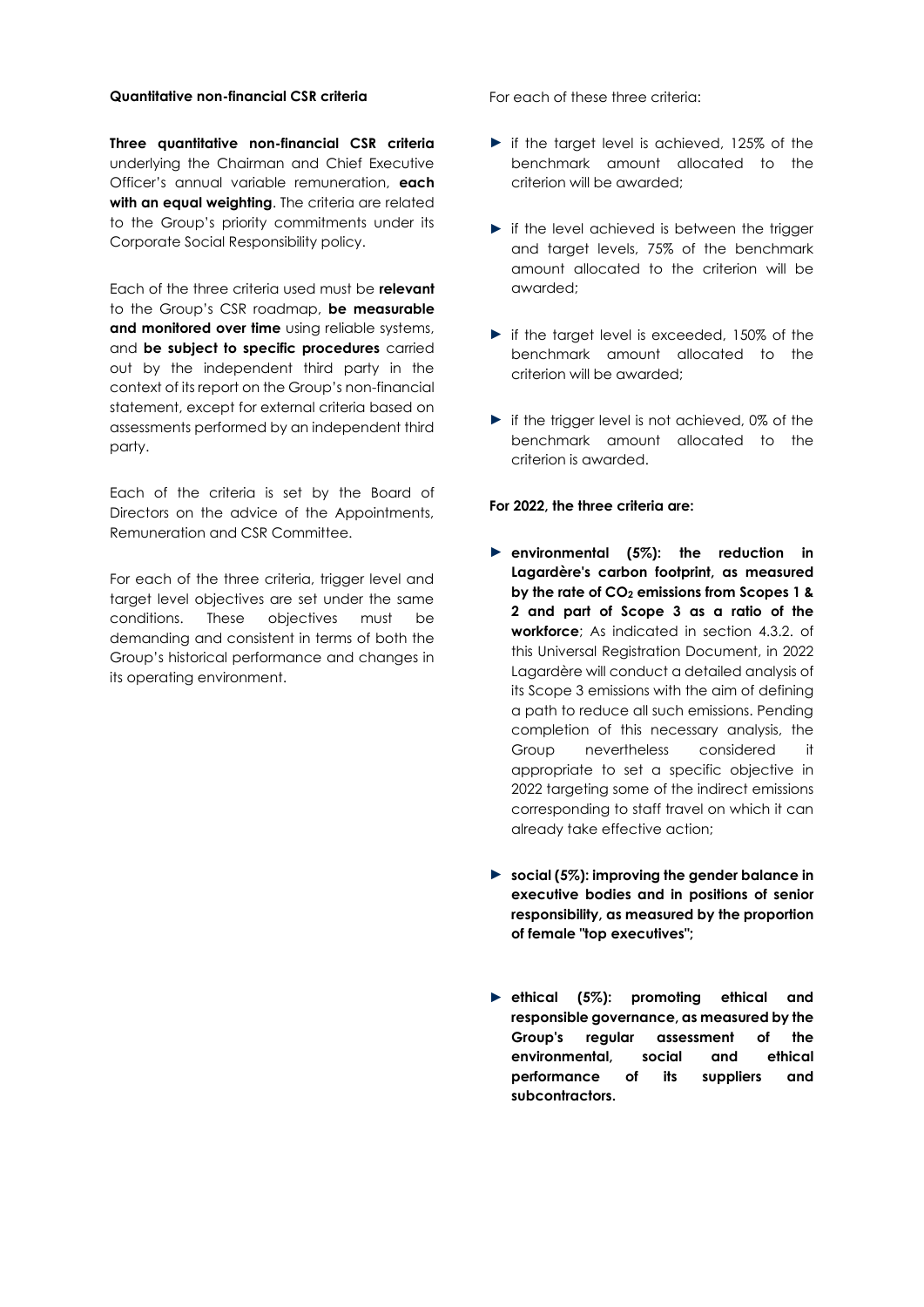### **Quantitative non-financial CSR criteria**

**Three quantitative non-financial CSR criteria** underlying the Chairman and Chief Executive Officer's annual variable remuneration, **each**  with an equal weighting. The criteria are related to the Group's priority commitments under its Corporate Social Responsibility policy.

Each of the three criteria used must be **relevant** to the Group's CSR roadmap, **be measurable and monitored over time** using reliable systems, and **be subject to specific procedures** carried out by the independent third party in the context of its report on the Group's non-financial statement, except for external criteria based on assessments performed by an independent third party.

Each of the criteria is set by the Board of Directors on the advice of the Appointments, Remuneration and CSR Committee.

For each of the three criteria, trigger level and target level objectives are set under the same conditions. These objectives must be demanding and consistent in terms of both the Group's historical performance and changes in its operating environment.

For each of these three criteria:

- ► if the target level is achieved, 125% of the benchmark amount allocated to the criterion will be awarded;
- $\blacktriangleright$  if the level achieved is between the trigger and target levels, 75% of the benchmark amount allocated to the criterion will be awarded;
- ► if the target level is exceeded, 150% of the benchmark amount allocated to the criterion will be awarded;
- ► if the trigger level is not achieved, 0% of the benchmark amount allocated to the criterion is awarded.

#### **For 2022, the three criteria are:**

- ► **environmental (5%): the reduction in Lagardère's carbon footprint, as measured by the rate of CO<sup>2</sup> emissions from Scopes 1 & 2 and part of Scope 3 as a ratio of the workforce**; As indicated in section 4.3.2. of this Universal Registration Document, in 2022 Lagardère will conduct a detailed analysis of its Scope 3 emissions with the aim of defining a path to reduce all such emissions. Pending completion of this necessary analysis, the Group nevertheless considered it appropriate to set a specific objective in 2022 targeting some of the indirect emissions corresponding to staff travel on which it can already take effective action;
- ► **social (5%): improving the gender balance in executive bodies and in positions of senior responsibility, as measured by the proportion of female "top executives";**
- ► **ethical (5%): promoting ethical and responsible governance, as measured by the Group's regular assessment of the environmental, social and ethical performance of its suppliers and subcontractors.**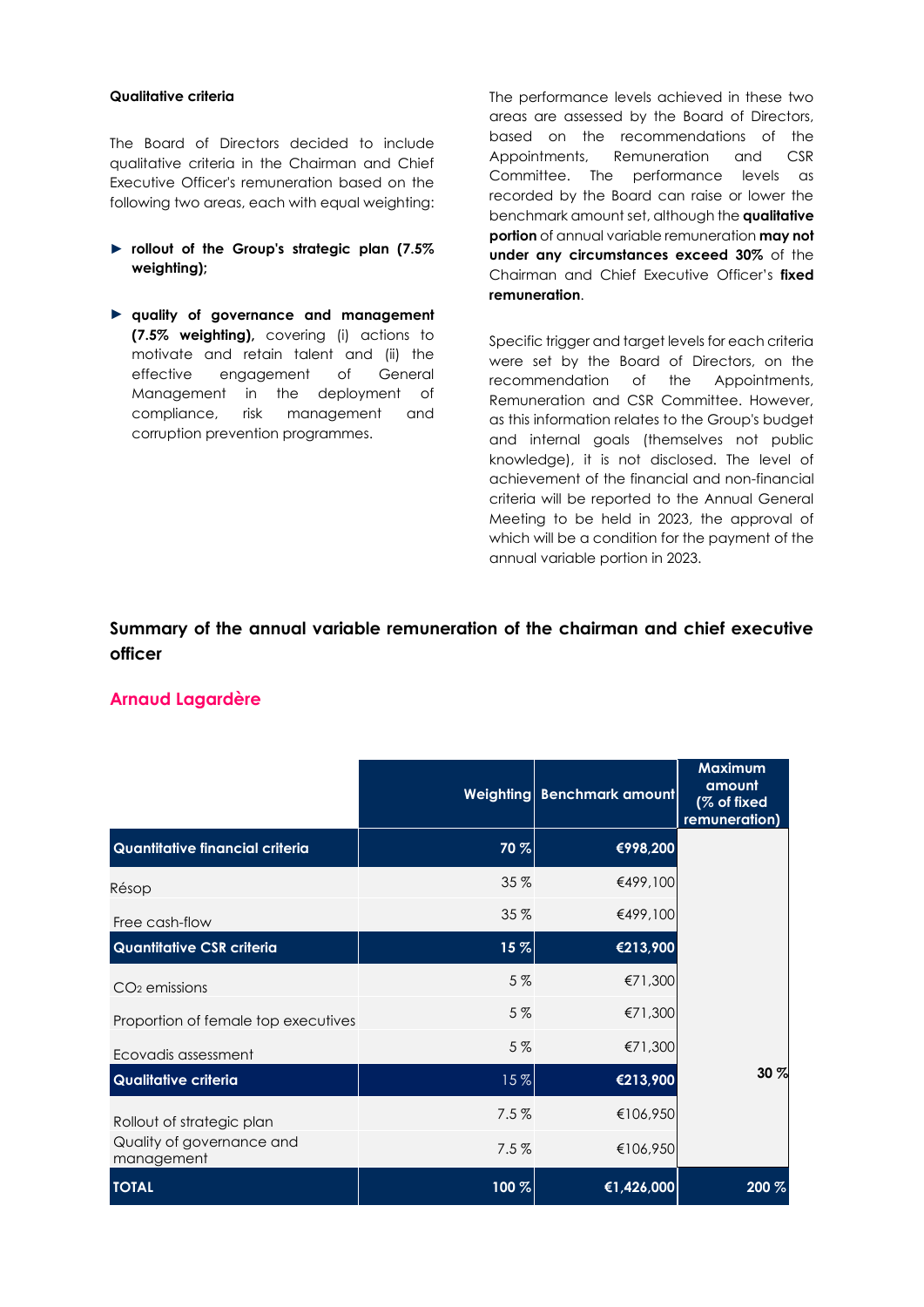### **Qualitative criteria**

The Board of Directors decided to include qualitative criteria in the Chairman and Chief Executive Officer's remuneration based on the following two areas, each with equal weighting:

- ► **rollout of the Group's strategic plan (7.5% weighting);**
- ► **quality of governance and management (7.5% weighting),** covering (i) actions to motivate and retain talent and (ii) the effective engagement of General Management in the deployment of compliance, risk management and corruption prevention programmes.

The performance levels achieved in these two areas are assessed by the Board of Directors, based on the recommendations of the Appointments, Remuneration and CSR Committee. The performance levels as recorded by the Board can raise or lower the benchmark amount set, although the **qualitative portion** of annual variable remuneration **may not under any circumstances exceed 30%** of the Chairman and Chief Executive Officer's **fixed remuneration**.

Specific trigger and target levels for each criteria were set by the Board of Directors, on the recommendation of the Appointments, Remuneration and CSR Committee. However, as this information relates to the Group's budget and internal goals (themselves not public knowledge), it is not disclosed. The level of achievement of the financial and non-financial criteria will be reported to the Annual General Meeting to be held in 2023, the approval of which will be a condition for the payment of the annual variable portion in 2023.

# **Summary of the annual variable remuneration of the chairman and chief executive officer**

# **Arnaud Lagardère**

|                                         |       | Weighting Benchmark amount | <b>Maximum</b><br>amount<br>(% of fixed<br>remuneration) |
|-----------------------------------------|-------|----------------------------|----------------------------------------------------------|
| Quantitative financial criteria         | 70 %  | €998,200                   |                                                          |
| Résop                                   | 35 %  | €499,100                   |                                                          |
| Free cash-flow                          | 35 %  | €499,100                   |                                                          |
| <b>Quantitative CSR criteria</b>        | 15%   | €213,900                   |                                                          |
| $CO2$ emissions                         | 5%    | €71,300                    |                                                          |
| Proportion of female top executives     | 5%    | €71,300                    |                                                          |
| Ecovadis assessment                     | 5%    | €71,300                    |                                                          |
| Qualitative criteria                    | 15%   | €213,900                   | 30 %                                                     |
| Rollout of strategic plan               | 7.5%  | €106,950                   |                                                          |
| Quality of governance and<br>management | 7.5%  | €106,950                   |                                                          |
| <b>TOTAL</b>                            | 100 % | €1,426,000                 | 200 %                                                    |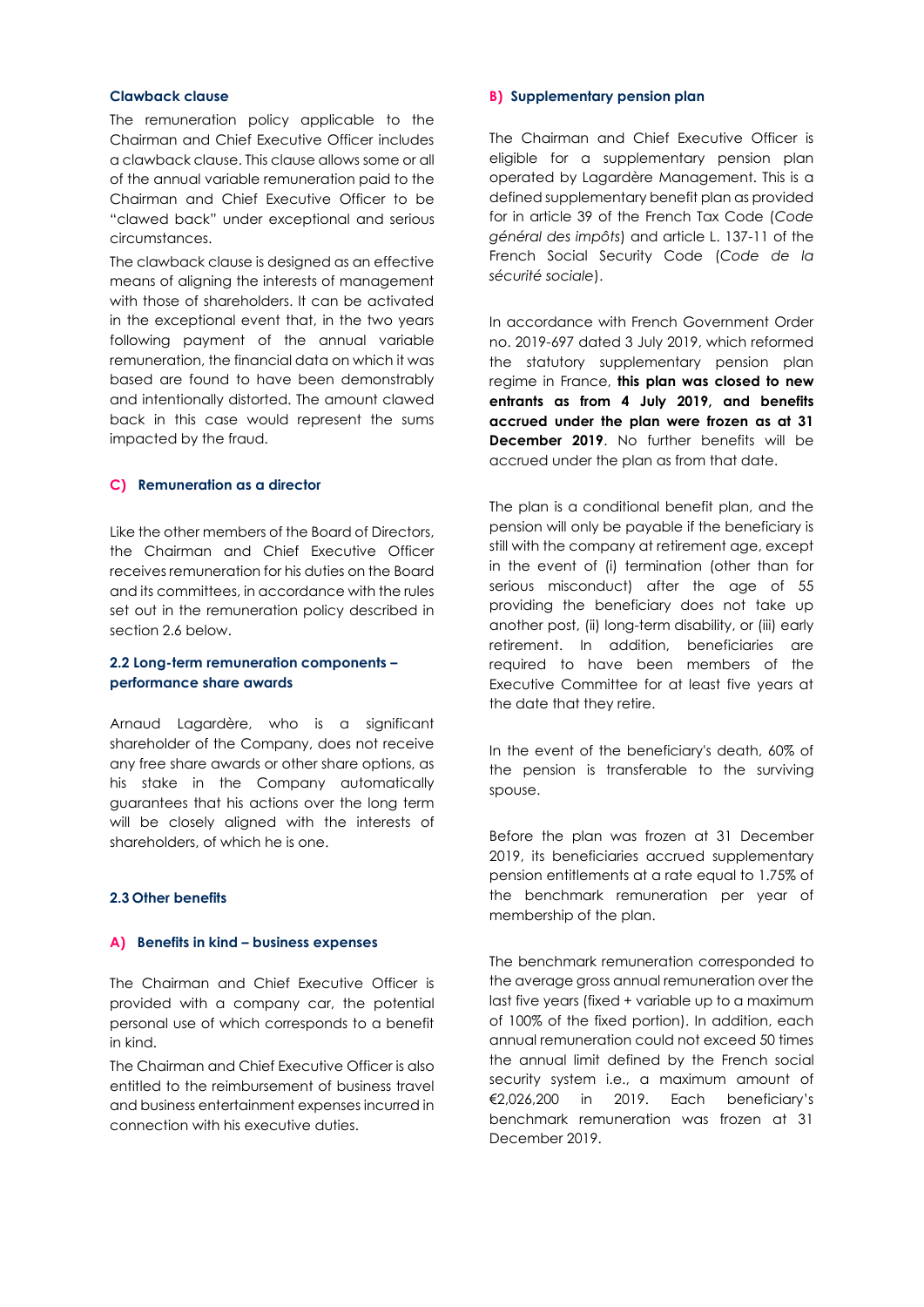### **Clawback clause**

The remuneration policy applicable to the Chairman and Chief Executive Officer includes a clawback clause. This clause allows some or all of the annual variable remuneration paid to the Chairman and Chief Executive Officer to be "clawed back" under exceptional and serious circumstances.

The clawback clause is designed as an effective means of aligning the interests of management with those of shareholders. It can be activated in the exceptional event that, in the two years following payment of the annual variable remuneration, the financial data on which it was based are found to have been demonstrably and intentionally distorted. The amount clawed back in this case would represent the sums impacted by the fraud.

#### **C) Remuneration as a director**

Like the other members of the Board of Directors, the Chairman and Chief Executive Officer receives remuneration for his duties on the Board and its committees, in accordance with the rules set out in the remuneration policy described in section 2.6 below.

## **2.2 Long-term remuneration components – performance share awards**

Arnaud Lagardère, who is a significant shareholder of the Company, does not receive any free share awards or other share options, as his stake in the Company automatically guarantees that his actions over the long term will be closely aligned with the interests of shareholders, of which he is one.

# **2.3 Other benefits**

# **A) Benefits in kind – business expenses**

The Chairman and Chief Executive Officer is provided with a company car, the potential personal use of which corresponds to a benefit in kind.

The Chairman and Chief Executive Officer is also entitled to the reimbursement of business travel and business entertainment expenses incurred in connection with his executive duties.

#### **B) Supplementary pension plan**

The Chairman and Chief Executive Officer is eligible for a supplementary pension plan operated by Lagardère Management. This is a defined supplementary benefit plan as provided for in article 39 of the French Tax Code (*Code général des impôts*) and article L. 137-11 of the French Social Security Code (*Code de la sécurité sociale*).

In accordance with French Government Order no. 2019-697 dated 3 July 2019, which reformed the statutory supplementary pension plan regime in France, **this plan was closed to new entrants as from 4 July 2019, and benefits accrued under the plan were frozen as at 31 December 2019**. No further benefits will be accrued under the plan as from that date.

The plan is a conditional benefit plan, and the pension will only be payable if the beneficiary is still with the company at retirement age, except in the event of (i) termination (other than for serious misconduct) after the age of 55 providing the beneficiary does not take up another post, (ii) long-term disability, or (iii) early retirement. In addition, beneficiaries are required to have been members of the Executive Committee for at least five years at the date that they retire.

In the event of the beneficiary's death, 60% of the pension is transferable to the surviving spouse.

Before the plan was frozen at 31 December 2019, its beneficiaries accrued supplementary pension entitlements at a rate equal to 1.75% of the benchmark remuneration per year of membership of the plan.

The benchmark remuneration corresponded to the average gross annual remuneration over the last five years (fixed + variable up to a maximum of 100% of the fixed portion). In addition, each annual remuneration could not exceed 50 times the annual limit defined by the French social security system i.e., a maximum amount of €2,026,200 in 2019. Each beneficiary's benchmark remuneration was frozen at 31 December 2019.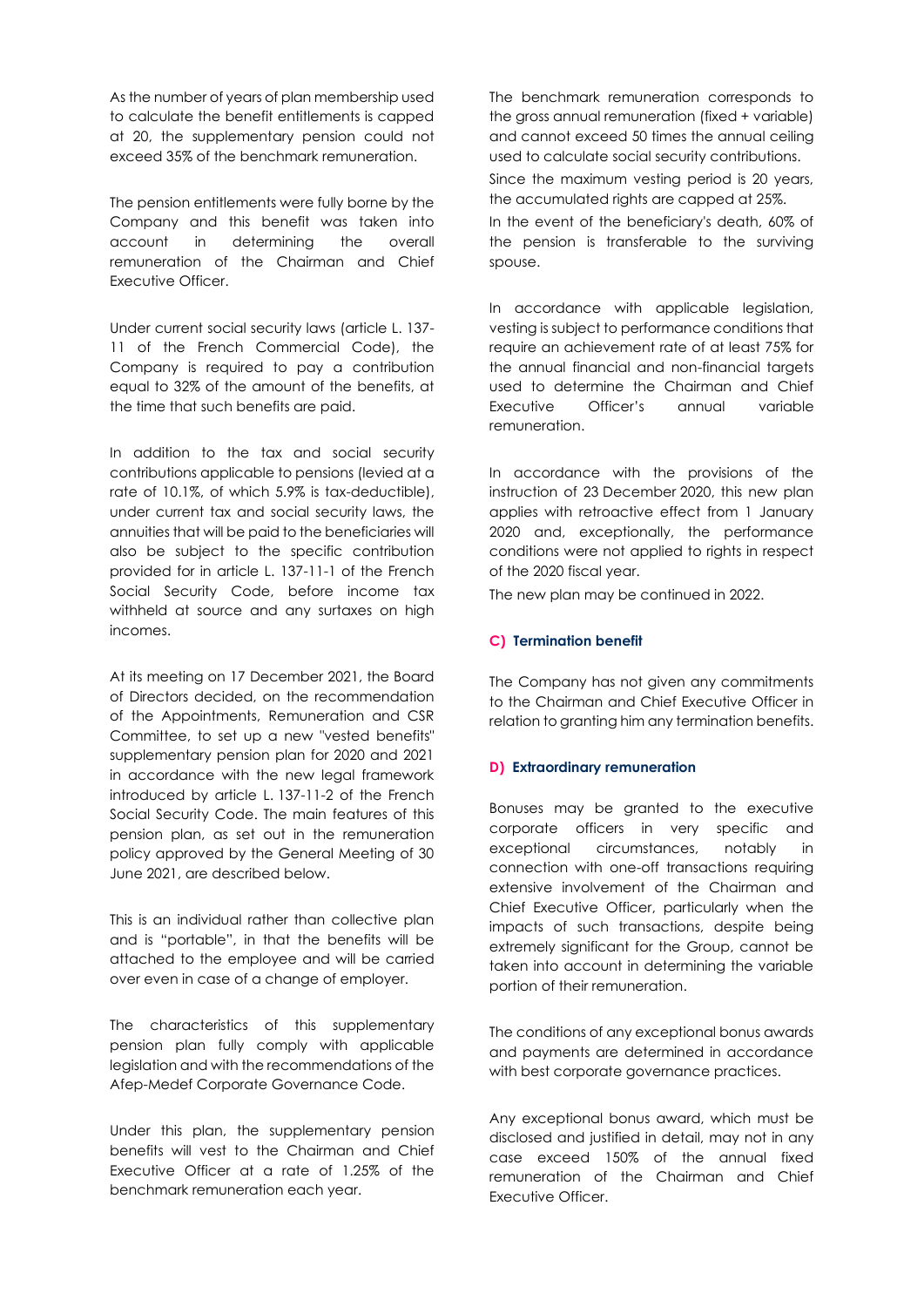As the number of years of plan membership used to calculate the benefit entitlements is capped at 20, the supplementary pension could not exceed 35% of the benchmark remuneration.

The pension entitlements were fully borne by the Company and this benefit was taken into account in determining the overall remuneration of the Chairman and Chief Executive Officer.

Under current social security laws (article L. 137- 11 of the French Commercial Code), the Company is required to pay a contribution equal to 32% of the amount of the benefits, at the time that such benefits are paid.

In addition to the tax and social security contributions applicable to pensions (levied at a rate of 10.1%, of which 5.9% is tax-deductible), under current tax and social security laws, the annuities that will be paid to the beneficiaries will also be subject to the specific contribution provided for in article L. 137-11-1 of the French Social Security Code, before income tax withheld at source and any surtaxes on high incomes.

At its meeting on 17 December 2021, the Board of Directors decided, on the recommendation of the Appointments, Remuneration and CSR Committee, to set up a new "vested benefits" supplementary pension plan for 2020 and 2021 in accordance with the new legal framework introduced by article L. 137-11-2 of the French Social Security Code. The main features of this pension plan, as set out in the remuneration policy approved by the General Meeting of 30 June 2021, are described below.

This is an individual rather than collective plan and is "portable", in that the benefits will be attached to the employee and will be carried over even in case of a change of employer.

The characteristics of this supplementary pension plan fully comply with applicable legislation and with the recommendations of the Afep-Medef Corporate Governance Code.

Under this plan, the supplementary pension benefits will vest to the Chairman and Chief Executive Officer at a rate of 1.25% of the benchmark remuneration each year.

The benchmark remuneration corresponds to the gross annual remuneration (fixed + variable) and cannot exceed 50 times the annual ceiling used to calculate social security contributions. Since the maximum vesting period is 20 years, the accumulated rights are capped at 25%. In the event of the beneficiary's death, 60% of the pension is transferable to the surviving spouse.

In accordance with applicable legislation, vesting is subject to performance conditions that require an achievement rate of at least 75% for the annual financial and non-financial targets used to determine the Chairman and Chief Executive Officer's annual variable remuneration.

In accordance with the provisions of the instruction of 23 December 2020, this new plan applies with retroactive effect from 1 January 2020 and, exceptionally, the performance conditions were not applied to rights in respect of the 2020 fiscal year.

The new plan may be continued in 2022.

# **C) Termination benefit**

The Company has not given any commitments to the Chairman and Chief Executive Officer in relation to granting him any termination benefits.

## **D) Extraordinary remuneration**

Bonuses may be granted to the executive corporate officers in very specific and exceptional circumstances, notably in connection with one-off transactions requiring extensive involvement of the Chairman and Chief Executive Officer, particularly when the impacts of such transactions, despite being extremely significant for the Group, cannot be taken into account in determining the variable portion of their remuneration.

The conditions of any exceptional bonus awards and payments are determined in accordance with best corporate governance practices.

Any exceptional bonus award, which must be disclosed and justified in detail, may not in any case exceed 150% of the annual fixed remuneration of the Chairman and Chief Executive Officer.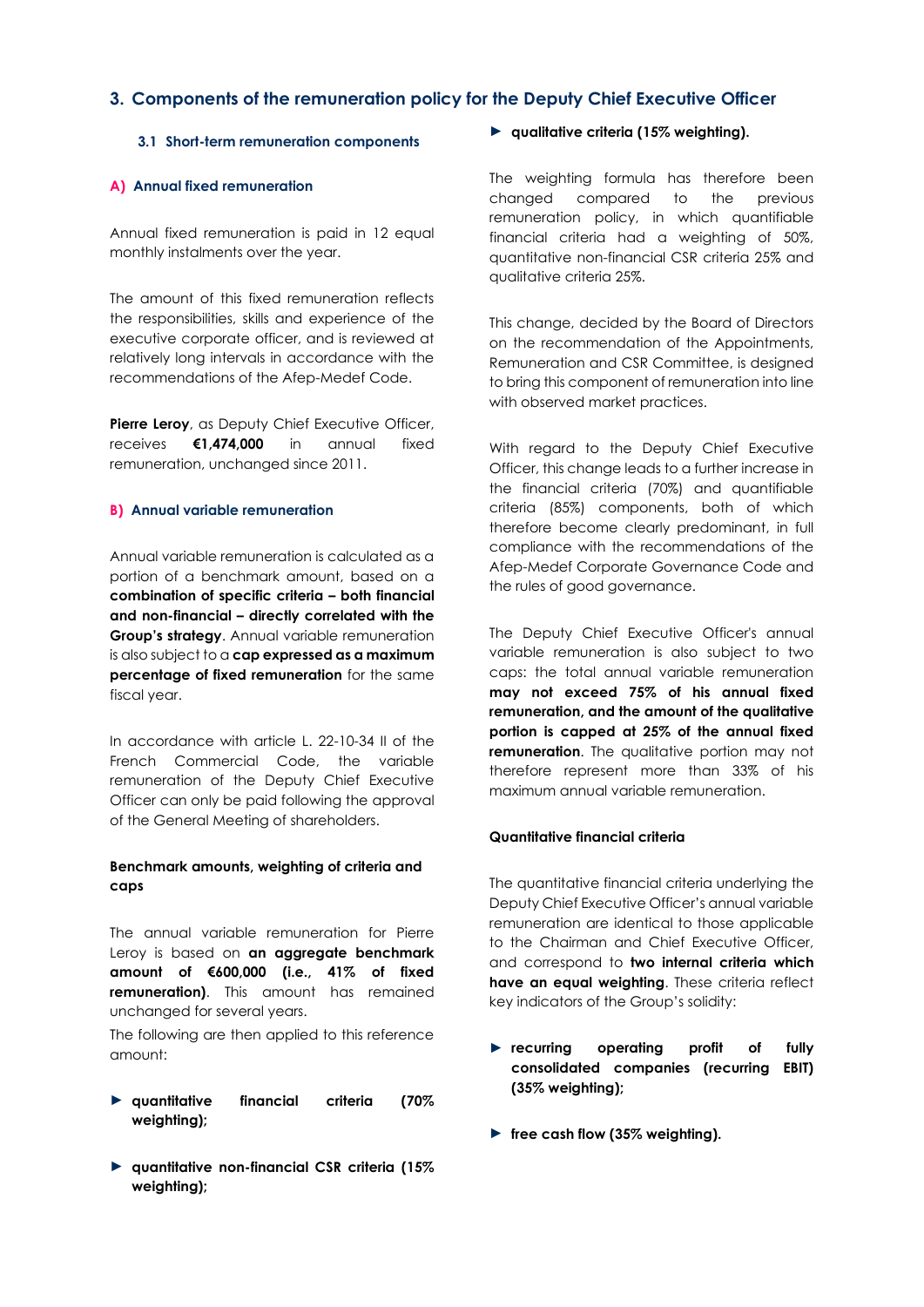# **3. Components of the remuneration policy for the Deputy Chief Executive Officer**

# **3.1 Short-term remuneration components**

# **A) Annual fixed remuneration**

Annual fixed remuneration is paid in 12 equal monthly instalments over the year.

The amount of this fixed remuneration reflects the responsibilities, skills and experience of the executive corporate officer, and is reviewed at relatively long intervals in accordance with the recommendations of the Afep-Medef Code.

Pierre Leroy, as Deputy Chief Executive Officer, receives **€1,474,000** in annual fixed remuneration, unchanged since 2011.

## **B) Annual variable remuneration**

Annual variable remuneration is calculated as a portion of a benchmark amount, based on a **combination of specific criteria – both financial and non-financial – directly correlated with the Group's strategy**. Annual variable remuneration is also subject to a **cap expressed as a maximum percentage of fixed remuneration** for the same fiscal year.

In accordance with article L. 22-10-34 II of the French Commercial Code, the variable remuneration of the Deputy Chief Executive Officer can only be paid following the approval of the General Meeting of shareholders.

# **Benchmark amounts, weighting of criteria and caps**

The annual variable remuneration for Pierre Leroy is based on **an aggregate benchmark amount of €600,000 (i.e., 41% of fixed remuneration)**. This amount has remained unchanged for several years.

The following are then applied to this reference amount:

- ► **quantitative financial criteria (70% weighting);**
- ► **quantitative non-financial CSR criteria (15% weighting);**

► **qualitative criteria (15% weighting).** 

The weighting formula has therefore been changed compared to the previous remuneration policy, in which quantifiable financial criteria had a weighting of 50%, quantitative non-financial CSR criteria 25% and qualitative criteria 25%.

This change, decided by the Board of Directors on the recommendation of the Appointments, Remuneration and CSR Committee, is designed to bring this component of remuneration into line with observed market practices.

With regard to the Deputy Chief Executive Officer, this change leads to a further increase in the financial criteria (70%) and quantifiable criteria (85%) components, both of which therefore become clearly predominant, in full compliance with the recommendations of the Afep-Medef Corporate Governance Code and the rules of good governance.

The Deputy Chief Executive Officer's annual variable remuneration is also subject to two caps: the total annual variable remuneration **may not exceed 75% of his annual fixed remuneration, and the amount of the qualitative portion is capped at 25% of the annual fixed remuneration**. The qualitative portion may not therefore represent more than 33% of his maximum annual variable remuneration.

# **Quantitative financial criteria**

The quantitative financial criteria underlying the Deputy Chief Executive Officer's annual variable remuneration are identical to those applicable to the Chairman and Chief Executive Officer, and correspond to **two internal criteria which have an equal weighting**. These criteria reflect key indicators of the Group's solidity:

- ► **recurring operating profit of fully consolidated companies (recurring EBIT) (35% weighting);**
- ► **free cash flow (35% weighting).**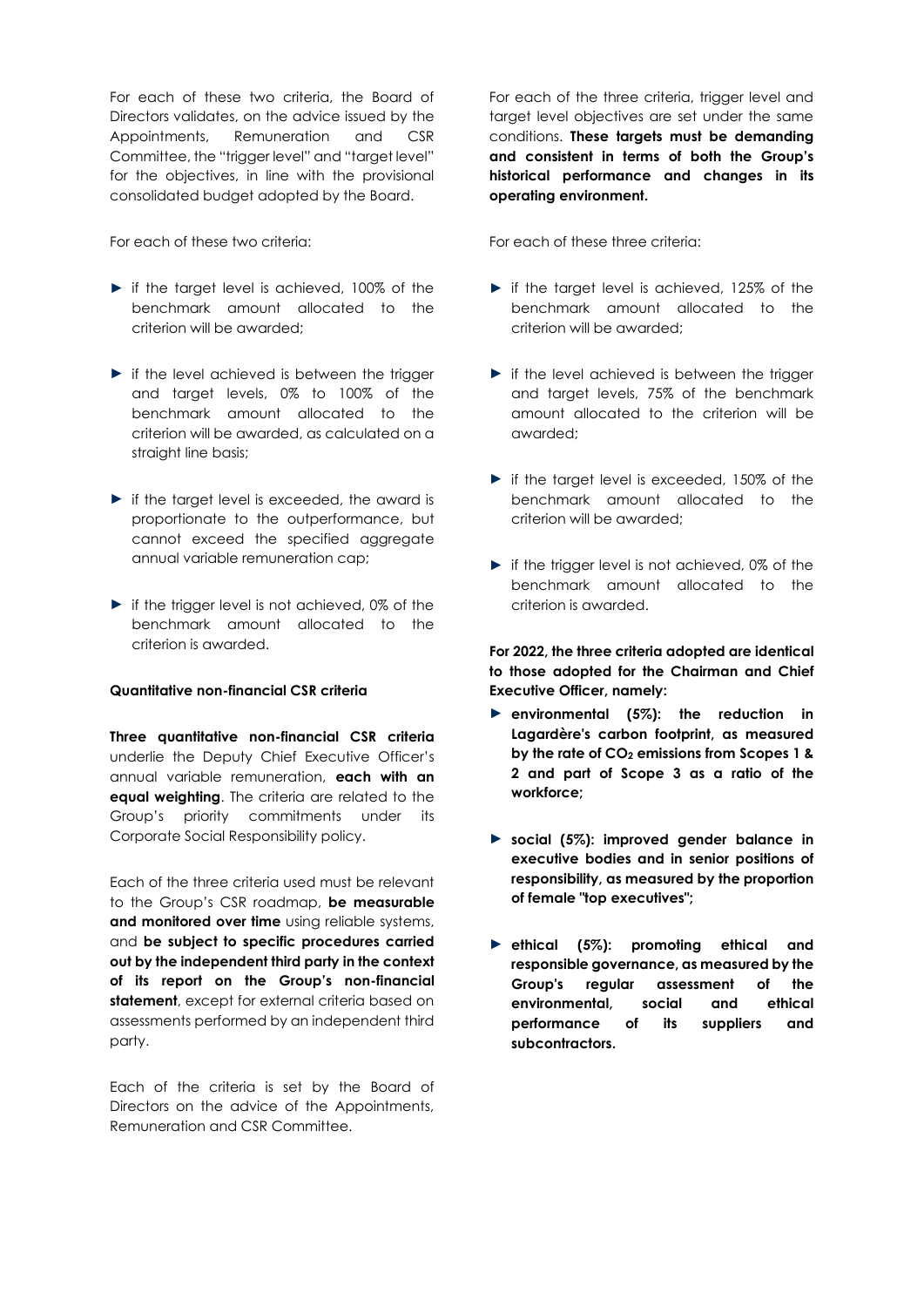For each of these two criteria, the Board of Directors validates, on the advice issued by the Appointments, Remuneration and CSR Committee, the "trigger level" and "target level" for the objectives, in line with the provisional consolidated budget adopted by the Board.

For each of these two criteria:

- ► if the target level is achieved, 100% of the benchmark amount allocated to the criterion will be awarded;
- ► if the level achieved is between the trigger and target levels, 0% to 100% of the benchmark amount allocated to the criterion will be awarded, as calculated on a straight line basis;
- ► if the target level is exceeded, the award is proportionate to the outperformance, but cannot exceed the specified aggregate annual variable remuneration cap;
- ► if the trigger level is not achieved, 0% of the benchmark amount allocated to the criterion is awarded.

## **Quantitative non-financial CSR criteria**

**Three quantitative non-financial CSR criteria** underlie the Deputy Chief Executive Officer's annual variable remuneration, **each with an equal weighting**. The criteria are related to the Group's priority commitments under its Corporate Social Responsibility policy.

Each of the three criteria used must be relevant to the Group's CSR roadmap, **be measurable and monitored over time** using reliable systems, and **be subject to specific procedures carried out by the independent third party in the context of its report on the Group's non-financial**  statement, except for external criteria based on assessments performed by an independent third party.

Each of the criteria is set by the Board of Directors on the advice of the Appointments, Remuneration and CSR Committee.

For each of the three criteria, trigger level and target level objectives are set under the same conditions. **These targets must be demanding and consistent in terms of both the Group's historical performance and changes in its operating environment.**

For each of these three criteria:

- ► if the target level is achieved, 125% of the benchmark amount allocated to the criterion will be awarded;
- ► if the level achieved is between the trigger and target levels, 75% of the benchmark amount allocated to the criterion will be awarded;
- ► if the target level is exceeded, 150% of the benchmark amount allocated to the criterion will be awarded;
- ► if the trigger level is not achieved, 0% of the benchmark amount allocated to the criterion is awarded.

**For 2022, the three criteria adopted are identical to those adopted for the Chairman and Chief Executive Officer, namely:**

- ► **environmental (5%): the reduction in Lagardère's carbon footprint, as measured by the rate of CO<sup>2</sup> emissions from Scopes 1 & 2 and part of Scope 3 as a ratio of the workforce;**
- ► **social (5%): improved gender balance in executive bodies and in senior positions of responsibility, as measured by the proportion of female "top executives";**
- ► **ethical (5%): promoting ethical and responsible governance, as measured by the Group's regular assessment of the environmental, social and ethical performance of its suppliers and subcontractors.**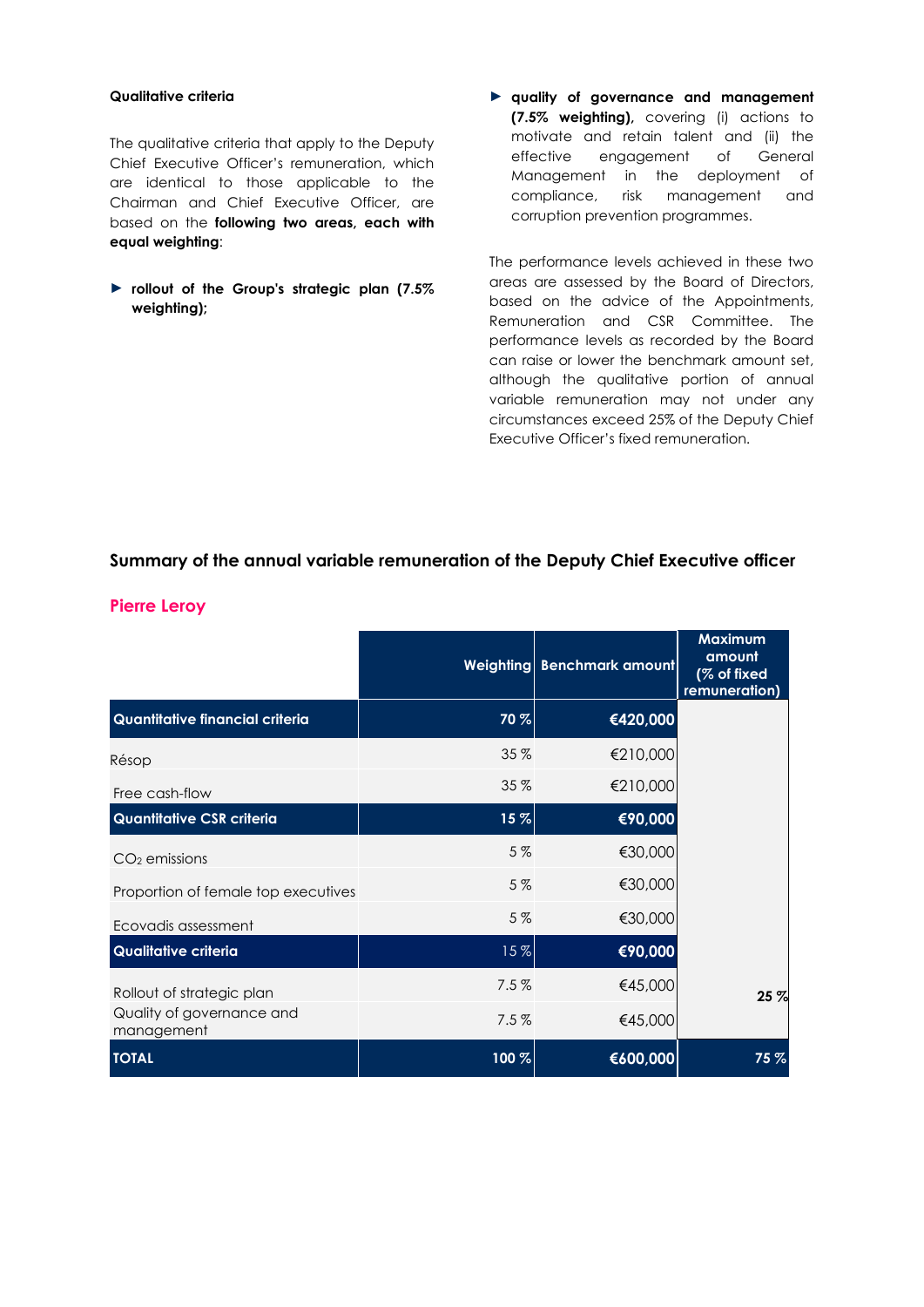# **Qualitative criteria**

The qualitative criteria that apply to the Deputy Chief Executive Officer's remuneration, which are identical to those applicable to the Chairman and Chief Executive Officer, are based on the **following two areas, each with equal weighting**:

- ► **rollout of the Group's strategic plan (7.5% weighting);**
- ► **quality of governance and management (7.5% weighting),** covering (i) actions to motivate and retain talent and (ii) the effective engagement of General Management in the deployment of compliance, risk management and corruption prevention programmes.

The performance levels achieved in these two areas are assessed by the Board of Directors, based on the advice of the Appointments, Remuneration and CSR Committee. The performance levels as recorded by the Board can raise or lower the benchmark amount set, although the qualitative portion of annual variable remuneration may not under any circumstances exceed 25% of the Deputy Chief Executive Officer's fixed remuneration.

# **Summary of the annual variable remuneration of the Deputy Chief Executive officer**

|                                         |       | Weighting Benchmark amount | <b>Maximum</b><br>amount<br>(% of fixed<br>remuneration) |
|-----------------------------------------|-------|----------------------------|----------------------------------------------------------|
| Quantitative financial criteria         | 70 %  | €420,000                   |                                                          |
| Résop                                   | 35 %  | €210,000                   |                                                          |
| Free cash-flow                          | 35 %  | €210,000                   |                                                          |
| <b>Quantitative CSR criteria</b>        | 15%   | €90,000                    |                                                          |
| $CO2$ emissions                         | 5%    | €30,000                    |                                                          |
| Proportion of female top executives     | 5%    | €30,000                    |                                                          |
| Ecovadis assessment                     | 5%    | €30,000                    |                                                          |
| Qualitative criteria                    | 15%   | €90,000                    |                                                          |
| Rollout of strategic plan               | 7.5%  | €45,000                    | 25 %                                                     |
| Quality of governance and<br>management | 7.5%  | €45,000                    |                                                          |
| <b>TOTAL</b>                            | 100 % | €600,000                   | 75%                                                      |

# **Pierre Leroy**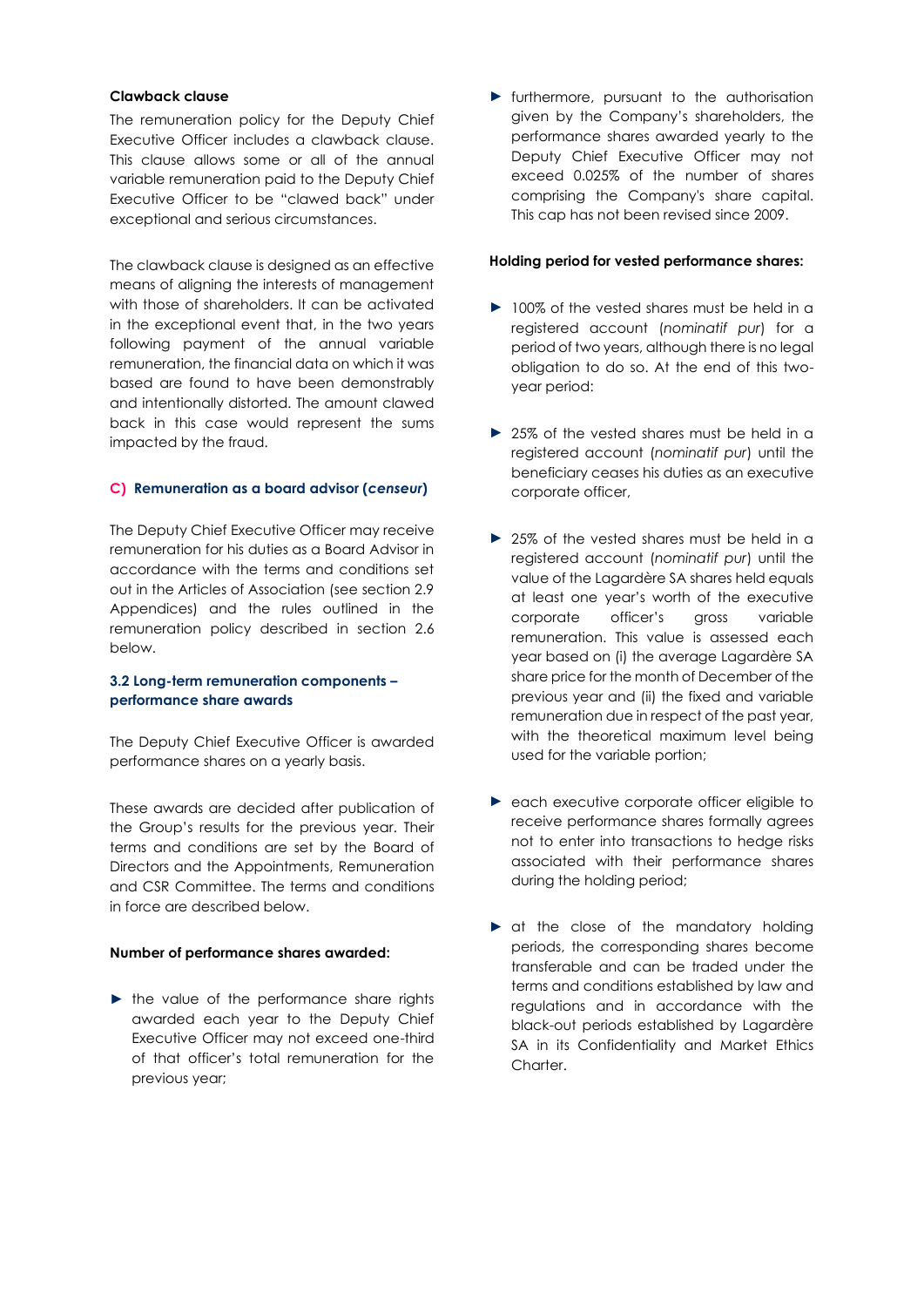### **Clawback clause**

The remuneration policy for the Deputy Chief Executive Officer includes a clawback clause. This clause allows some or all of the annual variable remuneration paid to the Deputy Chief Executive Officer to be "clawed back" under exceptional and serious circumstances.

The clawback clause is designed as an effective means of aligning the interests of management with those of shareholders. It can be activated in the exceptional event that, in the two years following payment of the annual variable remuneration, the financial data on which it was based are found to have been demonstrably and intentionally distorted. The amount clawed back in this case would represent the sums impacted by the fraud.

#### **C) Remuneration as a board advisor (***censeur***)**

The Deputy Chief Executive Officer may receive remuneration for his duties as a Board Advisor in accordance with the terms and conditions set out in the Articles of Association (see section 2.9 Appendices) and the rules outlined in the remuneration policy described in section 2.6 below.

#### **3.2 Long-term remuneration components – performance share awards**

The Deputy Chief Executive Officer is awarded performance shares on a yearly basis.

These awards are decided after publication of the Group's results for the previous year. Their terms and conditions are set by the Board of Directors and the Appointments, Remuneration and CSR Committee. The terms and conditions in force are described below.

#### **Number of performance shares awarded:**

► the value of the performance share rights awarded each year to the Deputy Chief Executive Officer may not exceed one-third of that officer's total remuneration for the previous year;

► furthermore, pursuant to the authorisation given by the Company's shareholders, the performance shares awarded yearly to the Deputy Chief Executive Officer may not exceed 0.025% of the number of shares comprising the Company's share capital. This cap has not been revised since 2009.

### **Holding period for vested performance shares:**

- ► 100% of the vested shares must be held in a registered account (*nominatif pur*) for a period of two years, although there is no legal obligation to do so. At the end of this twoyear period:
- ► 25% of the vested shares must be held in a registered account (*nominatif pur*) until the beneficiary ceases his duties as an executive corporate officer,
- ► 25% of the vested shares must be held in a registered account (*nominatif pur*) until the value of the Lagardère SA shares held equals at least one year's worth of the executive corporate officer's gross variable remuneration. This value is assessed each year based on (i) the average Lagardère SA share price for the month of December of the previous year and (ii) the fixed and variable remuneration due in respect of the past year, with the theoretical maximum level being used for the variable portion;
- ► each executive corporate officer eligible to receive performance shares formally agrees not to enter into transactions to hedge risks associated with their performance shares during the holding period;
- ► at the close of the mandatory holding periods, the corresponding shares become transferable and can be traded under the terms and conditions established by law and regulations and in accordance with the black-out periods established by Lagardère SA in its Confidentiality and Market Ethics Charter.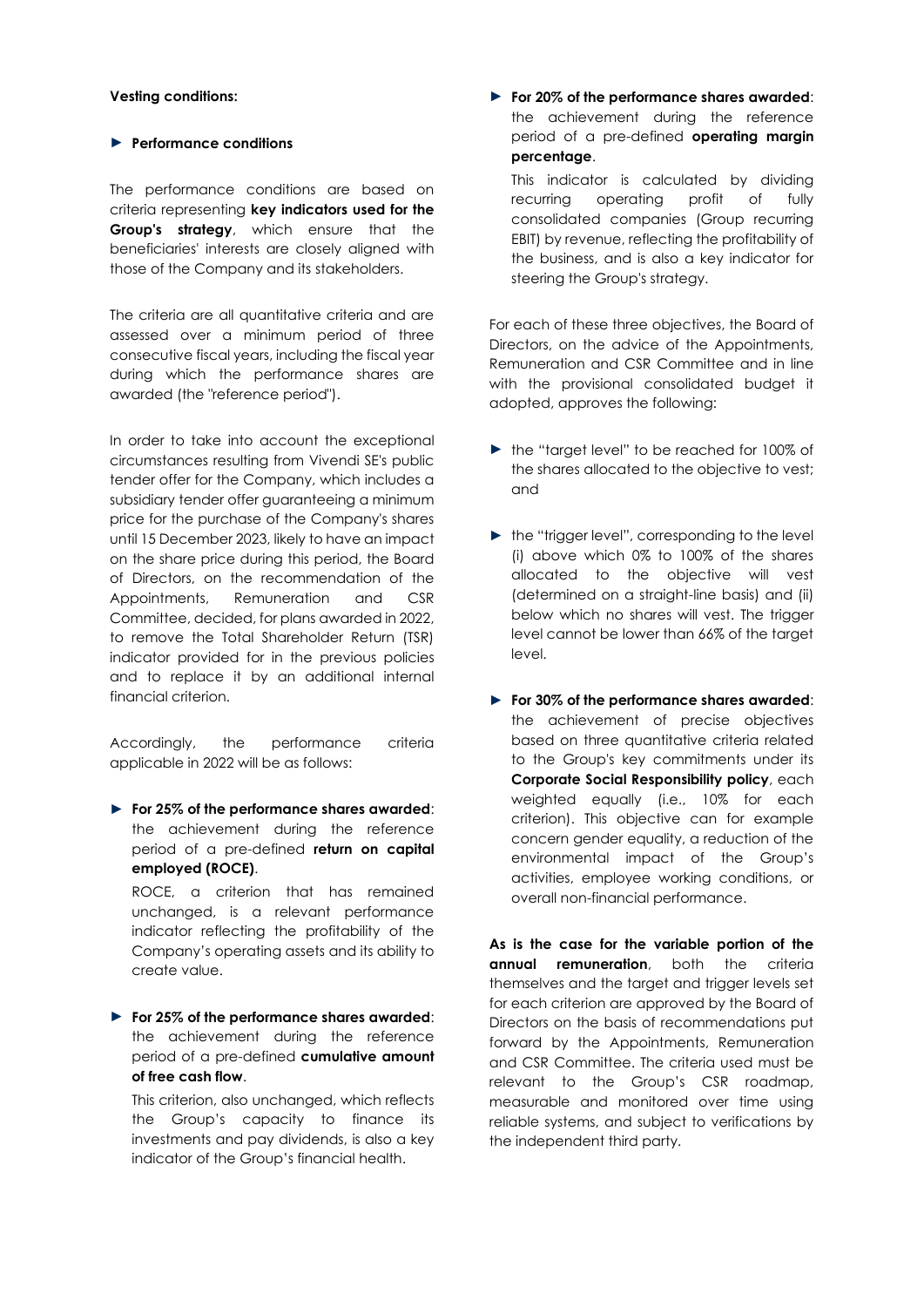### **Vesting conditions:**

# ► **Performance conditions**

The performance conditions are based on criteria representing **key indicators used for the Group's strategy**, which ensure that the beneficiaries' interests are closely aligned with those of the Company and its stakeholders.

The criteria are all quantitative criteria and are assessed over a minimum period of three consecutive fiscal years, including the fiscal year during which the performance shares are awarded (the "reference period").

In order to take into account the exceptional circumstances resulting from Vivendi SE's public tender offer for the Company, which includes a subsidiary tender offer guaranteeing a minimum price for the purchase of the Company's shares until 15 December 2023, likely to have an impact on the share price during this period, the Board of Directors, on the recommendation of the Appointments, Remuneration and CSR Committee, decided, for plans awarded in 2022, to remove the Total Shareholder Return (TSR) indicator provided for in the previous policies and to replace it by an additional internal financial criterion.

Accordingly, the performance criteria applicable in 2022 will be as follows:

► **For 25% of the performance shares awarded**: the achievement during the reference period of a pre-defined **return on capital employed (ROCE)**.

ROCE, a criterion that has remained unchanged, is a relevant performance indicator reflecting the profitability of the Company's operating assets and its ability to create value.

► **For 25% of the performance shares awarded**: the achievement during the reference period of a pre-defined **cumulative amount of free cash flow**.

This criterion, also unchanged, which reflects the Group's capacity to finance its investments and pay dividends, is also a key indicator of the Group's financial health.

► **For 20% of the performance shares awarded**: the achievement during the reference period of a pre-defined **operating margin percentage**.

This indicator is calculated by dividing recurring operating profit of fully consolidated companies (Group recurring EBIT) by revenue, reflecting the profitability of the business, and is also a key indicator for steering the Group's strategy.

For each of these three objectives, the Board of Directors, on the advice of the Appointments, Remuneration and CSR Committee and in line with the provisional consolidated budget it adopted, approves the following:

- ► the "target level" to be reached for 100% of the shares allocated to the objective to vest; and
- ► the "trigger level", corresponding to the level (i) above which 0% to 100% of the shares allocated to the objective will vest (determined on a straight-line basis) and (ii) below which no shares will vest. The trigger level cannot be lower than 66% of the target level.
- ► **For 30% of the performance shares awarded**: the achievement of precise objectives based on three quantitative criteria related to the Group's key commitments under its **Corporate Social Responsibility policy**, each weighted equally (i.e., 10% for each criterion). This objective can for example concern gender equality, a reduction of the environmental impact of the Group's activities, employee working conditions, or overall non-financial performance.

**As is the case for the variable portion of the annual remuneration**, both the criteria themselves and the target and trigger levels set for each criterion are approved by the Board of Directors on the basis of recommendations put forward by the Appointments, Remuneration and CSR Committee. The criteria used must be relevant to the Group's CSR roadmap, measurable and monitored over time using reliable systems, and subject to verifications by the independent third party.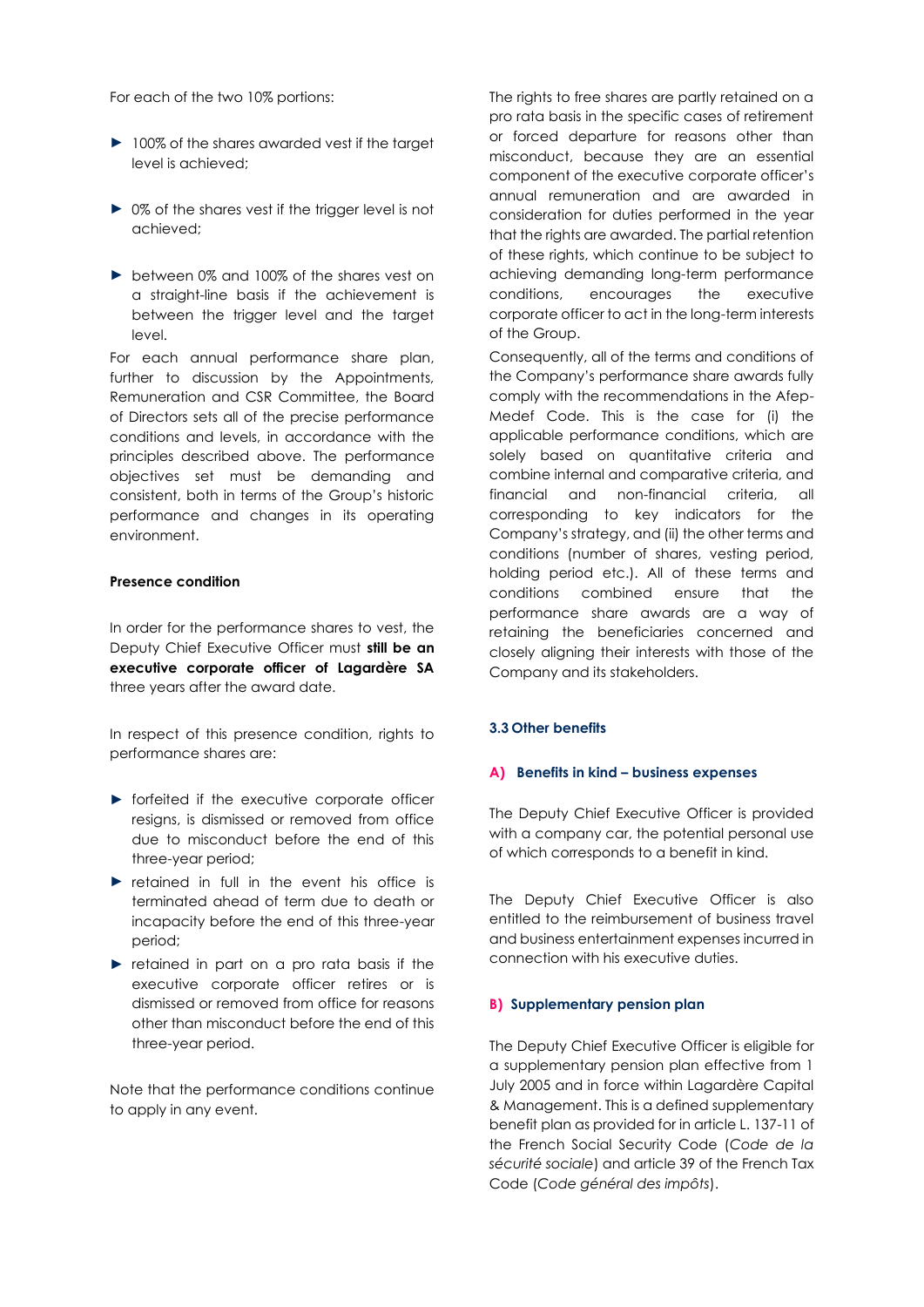For each of the two 10% portions:

- ► 100% of the shares awarded vest if the target level is achieved;
- ► 0% of the shares vest if the trigger level is not achieved;
- ► between 0% and 100% of the shares vest on a straight-line basis if the achievement is between the trigger level and the target level.

For each annual performance share plan, further to discussion by the Appointments, Remuneration and CSR Committee, the Board of Directors sets all of the precise performance conditions and levels, in accordance with the principles described above. The performance objectives set must be demanding and consistent, both in terms of the Group's historic performance and changes in its operating environment.

#### **Presence condition**

In order for the performance shares to vest, the Deputy Chief Executive Officer must **still be an executive corporate officer of Lagardère SA** three years after the award date.

In respect of this presence condition, rights to performance shares are:

- ► forfeited if the executive corporate officer resigns, is dismissed or removed from office due to misconduct before the end of this three-year period;
- ► retained in full in the event his office is terminated ahead of term due to death or incapacity before the end of this three-year period;
- ► retained in part on a pro rata basis if the executive corporate officer retires or is dismissed or removed from office for reasons other than misconduct before the end of this three-year period.

Note that the performance conditions continue to apply in any event.

The rights to free shares are partly retained on a pro rata basis in the specific cases of retirement or forced departure for reasons other than misconduct, because they are an essential component of the executive corporate officer's annual remuneration and are awarded in consideration for duties performed in the year that the rights are awarded. The partial retention of these rights, which continue to be subject to achieving demanding long-term performance conditions, encourages the executive corporate officer to act in the long-term interests of the Group.

Consequently, all of the terms and conditions of the Company's performance share awards fully comply with the recommendations in the Afep-Medef Code. This is the case for (i) the applicable performance conditions, which are solely based on quantitative criteria and combine internal and comparative criteria, and financial and non-financial criteria, all corresponding to key indicators for the Company's strategy, and (ii) the other terms and conditions (number of shares, vesting period, holding period etc.). All of these terms and conditions combined ensure that the performance share awards are a way of retaining the beneficiaries concerned and closely aligning their interests with those of the Company and its stakeholders.

## **3.3 Other benefits**

# **A) Benefits in kind – business expenses**

The Deputy Chief Executive Officer is provided with a company car, the potential personal use of which corresponds to a benefit in kind.

The Deputy Chief Executive Officer is also entitled to the reimbursement of business travel and business entertainment expenses incurred in connection with his executive duties.

#### **B) Supplementary pension plan**

The Deputy Chief Executive Officer is eligible for a supplementary pension plan effective from 1 July 2005 and in force within Lagardère Capital & Management. This is a defined supplementary benefit plan as provided for in article L. 137-11 of the French Social Security Code (*Code de la sécurité sociale*) and article 39 of the French Tax Code (*Code général des impôts*).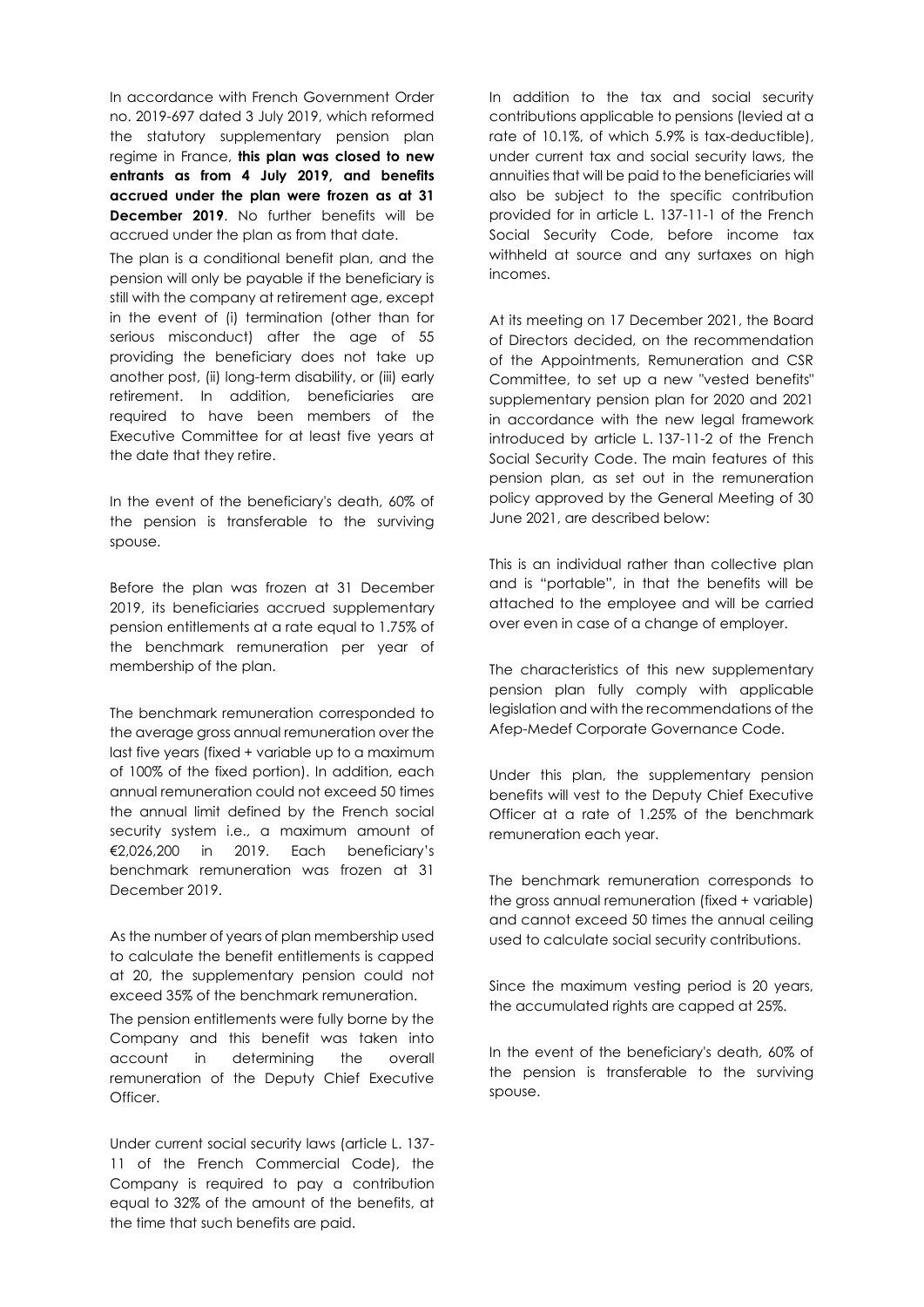In accordance with French Government Order no. 2019-697 dated 3 July 2019, which reformed the statutory supplementary pension plan regime in France, **this plan was closed to new entrants as from 4 July 2019, and benefits accrued under the plan were frozen as at 31 December 2019**. No further benefits will be accrued under the plan as from that date.

The plan is a conditional benefit plan, and the pension will only be payable if the beneficiary is still with the company at retirement age, except in the event of (i) termination (other than for serious misconduct) after the age of 55 providing the beneficiary does not take up another post, (ii) long-term disability, or (iii) early retirement. In addition, beneficiaries are required to have been members of the Executive Committee for at least five years at the date that they retire.

In the event of the beneficiary's death, 60% of the pension is transferable to the surviving spouse.

Before the plan was frozen at 31 December 2019, its beneficiaries accrued supplementary pension entitlements at a rate equal to 1.75% of the benchmark remuneration per year of membership of the plan.

The benchmark remuneration corresponded to the average gross annual remuneration over the last five years (fixed + variable up to a maximum of 100% of the fixed portion). In addition, each annual remuneration could not exceed 50 times the annual limit defined by the French social security system i.e., a maximum amount of €2,026,200 in 2019. Each beneficiary's benchmark remuneration was frozen at 31 December 2019.

As the number of years of plan membership used to calculate the benefit entitlements is capped at 20, the supplementary pension could not exceed 35% of the benchmark remuneration.

The pension entitlements were fully borne by the Company and this benefit was taken into account in determining the overall remuneration of the Deputy Chief Executive Officer.

Under current social security laws (article L. 137- 11 of the French Commercial Code), the Company is required to pay a contribution equal to 32% of the amount of the benefits, at the time that such benefits are paid.

In addition to the tax and social security contributions applicable to pensions (levied at a rate of 10.1%, of which 5.9% is tax-deductible), under current tax and social security laws, the annuities that will be paid to the beneficiaries will also be subject to the specific contribution provided for in article L. 137-11-1 of the French Social Security Code, before income tax withheld at source and any surtaxes on high incomes.

At its meeting on 17 December 2021, the Board of Directors decided, on the recommendation of the Appointments, Remuneration and CSR Committee, to set up a new "vested benefits" supplementary pension plan for 2020 and 2021 in accordance with the new legal framework introduced by article L. 137-11-2 of the French Social Security Code. The main features of this pension plan, as set out in the remuneration policy approved by the General Meeting of 30 June 2021, are described below:

This is an individual rather than collective plan and is "portable", in that the benefits will be attached to the employee and will be carried over even in case of a change of employer.

The characteristics of this new supplementary pension plan fully comply with applicable legislation and with the recommendations of the Afep-Medef Corporate Governance Code.

Under this plan, the supplementary pension benefits will vest to the Deputy Chief Executive Officer at a rate of 1.25% of the benchmark remuneration each year.

The benchmark remuneration corresponds to the gross annual remuneration (fixed + variable) and cannot exceed 50 times the annual ceiling used to calculate social security contributions.

Since the maximum vesting period is 20 years, the accumulated rights are capped at 25%.

In the event of the beneficiary's death, 60% of the pension is transferable to the surviving spouse.